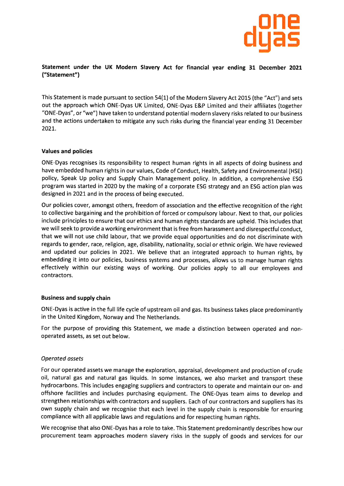

# Statement under the UK Modern Slavery Act for financial year ending 31 December <sup>2021</sup> ("Statement")

This Statement is made pursuant to section 54(1) of the Modern Slavery Act 2015 (the "Act") and sets out the approach which ONE-Dyas UK Limited, ONE-Dyas E&P Limited and their affiliates (together "ONE-Dyas", or "we") have taken to understand potential modern slavery risks related to our business and the actions undertaken to mitigate any such risks during the financial year ending 31 December 202L.

#### Values and policies

ONE-Dyas recognises its responsibility to respect human rights in all aspects of doing business and have embedded human rights in our values, Code of Conduct, Health, Safety and Environmental (HSE) policy, Speak Up policy and Supply Chain Management policy. ln addition, a comprehensive ESG program was started in 2020 by the making of a corporate ESG strategy and an ESG action plan was designed in 2O2t and in the process of being executed.

Our policies cover, amongst others, freedom of association and the effective recognition of the right to collective bargaining and the prohibition of forced or compulsory labour. Next to that, our policies include principles to ensure that our ethics and human rights standards are upheld. This includes that we will seek to provide a working environment that is free from harassment and disrespectful conduct, that we will not use child labour, that we provide equal opportunities and do not discriminate with regards to gender, race, religion, age, disability, nationality, social or ethnic origin. We have reviewed and updated our policies in 2021. We believe that an integrated approach to human rights, by embedding it into our policies, business systems and processes, allows us to manage human rights effectively within our existing ways of working. Our policies apply to all our employees and contractors.

#### Business and supply chain

ONE-Dyas is active in the full life cycle of upstream oil and gas. lts business takes place predominantly in the United Kingdom, Norway and The Netherlands

For the purpose of providing this Statement, we made a distinction between operated and nonoperated assets, as set out below.

## Operoted ossets

For our operated assets we manage the exploration, appraisal, development and production of crude oil, natural gas and natural gas liquids. ln some instances, we also market and transport these hydrocarbons. This includes engaging suppliers and contractors to operate and maintain our on- and offshore facilities and includes purchasing equipment. The ONE-Dyas team aims to develop and strengthen relationships with contractors and suppliers. Each of our contractors and suppliers has its own supply chain and we recognise that each level in the supply chain is responsible for ensuring compliance with all applicable laws and regulations and for respecting human rights.

We recognise that also ONE-Dyas has a role to take. This Statement predominantly describes how our procurement team approaches modern slavery risks in the supply of goods and services for our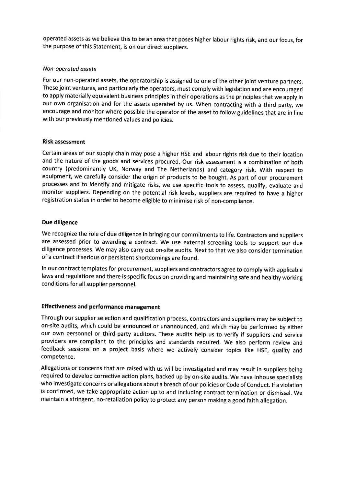operated assets as we believe this to be an area that poses higher labour rights risk, and our focus, for the purpose of this Statement, is on our direct suppliers.

## Non-operoted ossets

For our non-operated assets, the operatorship is assigned to one of the other joint venture partners. These joint ventures, and particularly the operators, must comply with legislation and are encouraged to apply materially equivalent business principles in their operations as the principles that we apply in our own organisation and for the assets operated by us. When contracting with a third party, we encourage and monitor where possible the operator of the asset to follow guidelines that are in line with our previously mentioned values and policies.

## Risk assessment

Certain areas of our supply chain may pose a higher HSE and labour rights risk due to their location and the nature of the goods and services procured. Our risk assessment is a combination of both country (predominantly UK, Norway and The Netherlands) and category risk. With respect to equipment, we carefully consider the origin of products to be bought. As part of our procurement processes and to identify and mitigate risks, we use specific tools to assess, qualify, evaluate and monitor suppliers. Depending on the potential risk levels, suppliers are required to have a higher registration status in order to become eligible to minimise risk of non-compliance.

## Due diligence

We recognize the role of due diligence in bringing our commitments to life. Contractors and suppliers are assessed prior to awarding a contract. We use external screening tools to support our due diligence processes. We may also carry out on-site audits. Next to that we also consider termination of a contract if serious or persistent shortcomings are found.

ln our contract templates for procurement, suppliers and contractors agree to comply with applicable laws and regulations and there is specific focus on providing and maintaining safe and healthy working conditions for all supplier personnel.

# Effectiveness and performance management

Through our supplier selection and qualification process, contractors and suppliers may be subject to on-site audits, which could be announced or unannounced, and which may be performed by either our own personnel or third-party auditors. These audits help us to verify if suppliers and service providers are compliant to the principles and standards required. We also perform review and feedback sessions on a project basis where we actively consider topics like HSE, quality and competence.

Allegations or concerns that are raised with us will be investigated and may result in suppliers being required to develop corrective action plans, backed up by on-site audits. We have inhouse specialists who investigate concerns or allegations about a breach of our policies or Code of Conduct. lf a violation is confirmed, we take appropriate action up to and including contract termination or dismissal. We maintain a stringent, no-retaliation policy to protect any person making a good faith allegation.